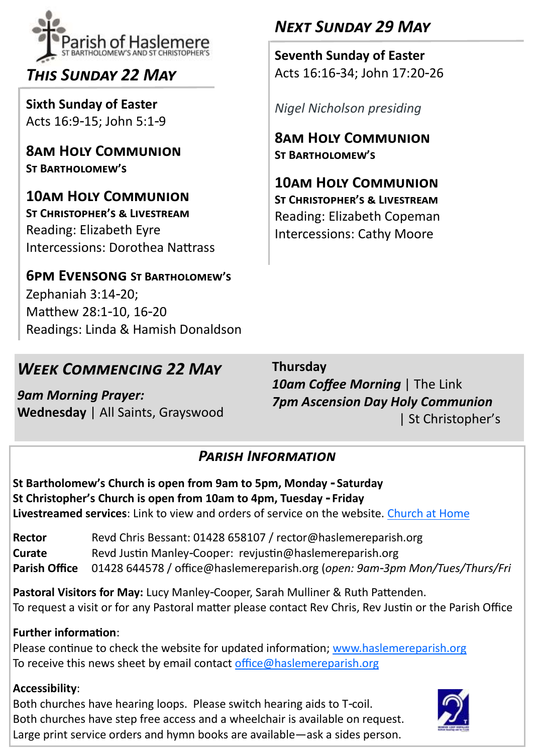

# *This Sunday 22 May*

**Sixth Sunday of Easter** Acts 16:9-15; John 5:1-9

**8am Holy Communion St Bartholomew's**

**10am Holy Communion St Christopher's & Livestream**  Reading: Elizabeth Eyre Intercessions: Dorothea Nattrass

## **6pm Evensong St Bartholomew's**

Zephaniah 3:14-20; Matthew 28:1-10, 16-20 Readings: Linda & Hamish Donaldson

## *Week Commencing 22 May*

*9am Morning Prayer:*  **Wednesday** | All Saints, Grayswood

# **Thursday** *10am Coffee Morning* | The Link

*7pm Ascension Day Holy Communion* | St Christopher's

## *Parish Information*

**St Bartholomew's Church is open from 9am to 5pm, Monday - Saturday St Christopher's Church is open from 10am to 4pm, Tuesday - Friday Livestreamed services**: Link to view and orders of service on the website. [Church at Home](https://www.haslemereparish.org/stay-at-home/live-service-streaming/)

Rector Revd Chris Bessant: 01428 658107 / rector@haslemereparish.org **Curate** Revd Justin Manley-Cooper: revjustin@haslemereparish.org **Parish Office** 01428 644578 / office@haslemereparish.org (*open: 9am-3pm Mon/Tues/Thurs/Fri*

**Pastoral Visitors for May:** Lucy Manley-Cooper, Sarah Mulliner & Ruth Pattenden. To request a visit or for any Pastoral matter please contact Rev Chris, Rev Justin or the Parish Office

#### **Further information**:

Please continue to check the website for updated information; [www.haslemereparish.org](https://www.haslemereparish.org) To receive this news sheet by email contact [office@haslemereparish.org](mailto:office@haslemereparish.org) 

#### **Accessibility**:

Both churches have hearing loops. Please switch hearing aids to T-coil. Both churches have step free access and a wheelchair is available on request. Large print service orders and hymn books are available—ask a sides person.



# *Next Sunday 29 May*

**Seventh Sunday of Easter** Acts 16:16-34; John 17:20-26

*Nigel Nicholson presiding*

**8am Holy Communion St Bartholomew's**

**10am Holy Communion St Christopher's & Livestream**  Reading: Elizabeth Copeman Intercessions: Cathy Moore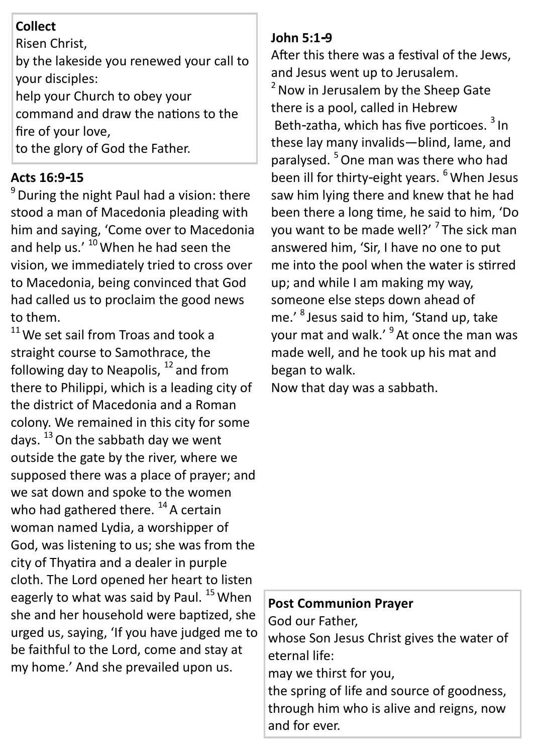## **Collect**

Risen Christ,

by the lakeside you renewed your call to your disciples:

help your Church to obey your command and draw the nations to the fire of your love,

to the glory of God the Father.

## **Acts 16:9-15**

<sup>9</sup> During the night Paul had a vision: there stood a man of Macedonia pleading with him and saying, 'Come over to Macedonia and help us.' <sup>10</sup> When he had seen the vision, we immediately tried to cross over to Macedonia, being convinced that God had called us to proclaim the good news to them.

 $11$  We set sail from Troas and took a straight course to Samothrace, the following day to Neapolis,  $^{12}$  and from there to Philippi, which is a leading city of the district of Macedonia and a Roman colony. We remained in this city for some days. <sup>13</sup> On the sabbath day we went outside the gate by the river, where we supposed there was a place of prayer; and we sat down and spoke to the women who had gathered there.  $^{14}$  A certain woman named Lydia, a worshipper of God, was listening to us; she was from the city of Thyatira and a dealer in purple cloth. The Lord opened her heart to listen eagerly to what was said by Paul.<sup>15</sup> When she and her household were baptized, she urged us, saying, 'If you have judged me to be faithful to the Lord, come and stay at my home.' And she prevailed upon us.

#### **John 5:1-9**

After this there was a festival of the Jews, and Jesus went up to Jerusalem.  $2$  Now in Jerusalem by the Sheep Gate there is a pool, called in Hebrew Beth-zatha, which has five porticoes. <sup>3</sup> In these lay many invalids—blind, lame, and paralysed. <sup>5</sup> One man was there who had been ill for thirty-eight years. <sup>6</sup> When Jesus saw him lying there and knew that he had been there a long time, he said to him, 'Do you want to be made well?' <sup>7</sup> The sick man answered him, 'Sir, I have no one to put me into the pool when the water is stirred up; and while I am making my way, someone else steps down ahead of me.' 8 Jesus said to him, 'Stand up, take your mat and walk.' <sup>9</sup> At once the man was made well, and he took up his mat and began to walk.

Now that day was a sabbath.

#### **Post Communion Prayer**

God our Father, whose Son Jesus Christ gives the water of eternal life: may we thirst for you, the spring of life and source of goodness, through him who is alive and reigns, now and for ever.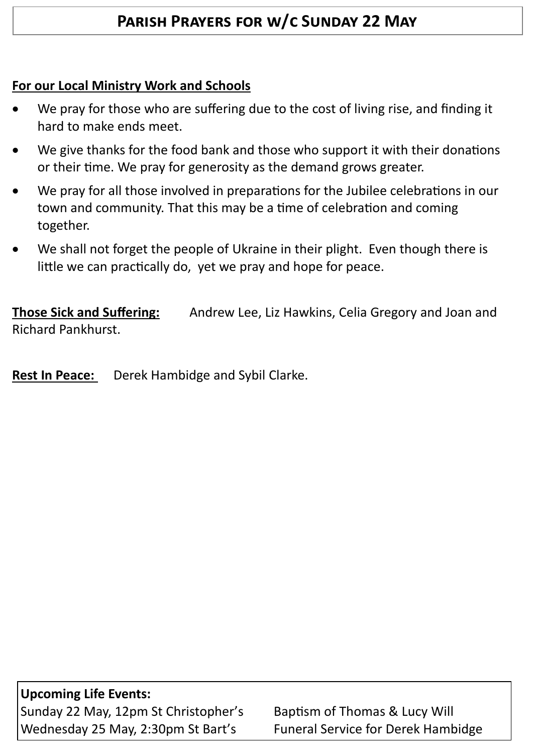## **Parish Prayers for w/c Sunday 22 May**

### **For our Local Ministry Work and Schools**

- We pray for those who are suffering due to the cost of living rise, and finding it hard to make ends meet.
- We give thanks for the food bank and those who support it with their donations or their time. We pray for generosity as the demand grows greater.
- We pray for all those involved in preparations for the Jubilee celebrations in our town and community. That this may be a time of celebration and coming together.
- We shall not forget the people of Ukraine in their plight. Even though there is little we can practically do, yet we pray and hope for peace.

**Those Sick and Suffering:** Andrew Lee, Liz Hawkins, Celia Gregory and Joan and Richard Pankhurst.

**Rest In Peace:** Derek Hambidge and Sybil Clarke.

**Upcoming Life Events:** Sunday 22 May, 12pm St Christopher's Baptism of Thomas & Lucy Will Wednesday 25 May, 2:30pm St Bart's Funeral Service for Derek Hambidge